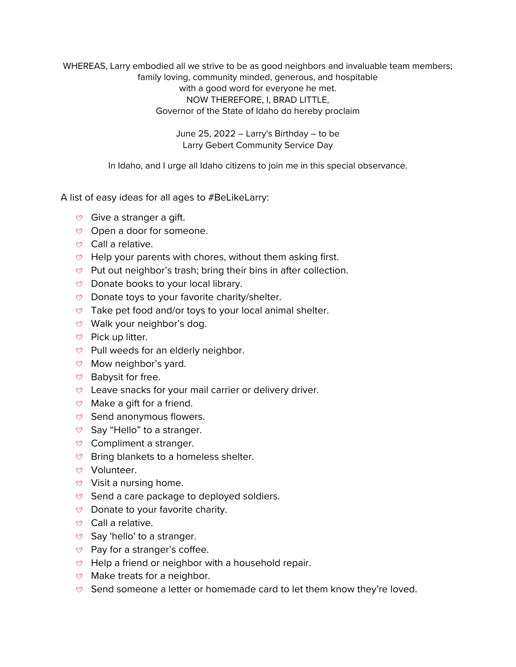WHEREAS, Larry embodied all we strive to be as good neighbors and invaluable team members; family loving, community minded, generous, and hospitable with a good word for everyone he met. NOW THEREFORE, I, BRAD LITTLE, Governor of the State of Idaho do hereby proclaim

> June 25, 2022 – Larry's Birthday – to be Larry Gebert Community Service Day

In Idaho, and I urge all Idaho citizens to join me in this special observance.

A list of easy ideas for all ages to #BeLikeLarry:

- $\heartsuit$  Give a stranger a gift.
- $\heartsuit$  Open a door for someone.
- $\heartsuit$  Call a relative.
- $\heartsuit$  Help your parents with chores, without them asking first.
- $\heartsuit$  Put out neighbor's trash; bring their bins in after collection.
- $\heartsuit$  Donate books to your local library.
- $\heartsuit$  Donate toys to your favorite charity/shelter.
- $\heartsuit$  Take pet food and/or toys to your local animal shelter.
- $\heartsuit$  Walk your neighbor's dog.
- $\heartsuit$  Pick up litter.
- $\heartsuit$  Pull weeds for an elderly neighbor.
- $\heartsuit$  Mow neighbor's yard.
- $\heartsuit$  Babysit for free.
- $\circ$  Leave snacks for your mail carrier or delivery driver.
- $\heartsuit$  Make a gift for a friend.
- $\heartsuit$  Send anonymous flowers.
- $\heartsuit$  Say "Hello" to a stranger.
- $\heartsuit$  Compliment a stranger.
- $\heartsuit$  Bring blankets to a homeless shelter.
- Volunteer.
- $\heartsuit$  Visit a nursing home.
- $\heartsuit$  Send a care package to deployed soldiers.
- $\heartsuit$  Donate to your favorite charity.
- $\heartsuit$  Call a relative.
- $\heartsuit$  Say 'hello' to a stranger.
- $\heartsuit$  Pay for a stranger's coffee.
- $\heartsuit$  Help a friend or neighbor with a household repair.
- $\heartsuit$  Make treats for a neighbor.
- $\heartsuit$  Send someone a letter or homemade card to let them know they're loved.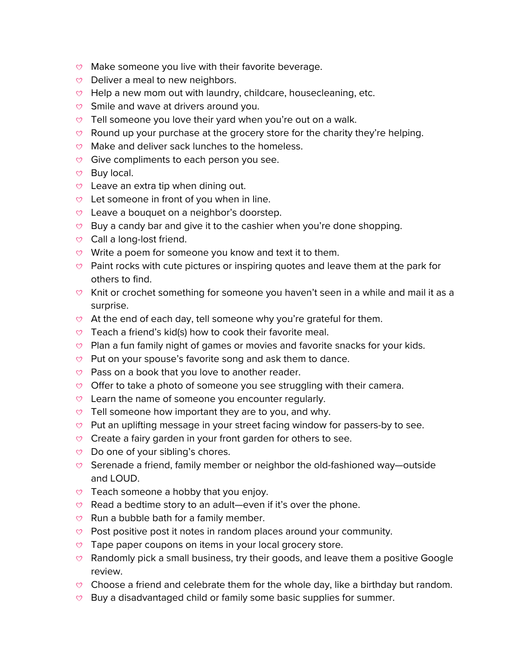- $\circ$  Make someone you live with their favorite beverage.
- $\heartsuit$  Deliver a meal to new neighbors.
- $\heartsuit$  Help a new mom out with laundry, childcare, housecleaning, etc.
- $\heartsuit$  Smile and wave at drivers around you.
- $\heartsuit$  Tell someone you love their yard when you're out on a walk.
- $\heartsuit$  Round up your purchase at the grocery store for the charity they're helping.
- $\heartsuit$  Make and deliver sack lunches to the homeless.
- $\heartsuit$  Give compliments to each person you see.
- $\heartsuit$  Buy local.
- $\heartsuit$  Leave an extra tip when dining out.
- $\heartsuit$  Let someone in front of you when in line.
- $\heartsuit$  Leave a bouquet on a neighbor's doorstep.
- $\heartsuit$  Buy a candy bar and give it to the cashier when you're done shopping.
- $\heartsuit$  Call a long-lost friend.
- $\circ$  Write a poem for someone you know and text it to them.
- $\heartsuit$  Paint rocks with cute pictures or inspiring quotes and leave them at the park for others to find.
- $\heartsuit$  Knit or crochet something for someone you haven't seen in a while and mail it as a surprise.
- $\circ$  At the end of each day, tell someone why you're grateful for them.
- $\heartsuit$  Teach a friend's kid(s) how to cook their favorite meal.
- $\heartsuit$  Plan a fun family night of games or movies and favorite snacks for your kids.
- $\heartsuit$  Put on your spouse's favorite song and ask them to dance.
- $\heartsuit$  Pass on a book that you love to another reader.
- $\heartsuit$  Offer to take a photo of someone you see struggling with their camera.
- $\heartsuit$  Learn the name of someone you encounter regularly.
- $\heartsuit$  Tell someone how important they are to you, and why.
- $\heartsuit$  Put an uplifting message in your street facing window for passers-by to see.
- $\circ$  Create a fairy garden in your front garden for others to see.
- $\heartsuit$  Do one of your sibling's chores.
- $\heartsuit$  Serenade a friend, family member or neighbor the old-fashioned way—outside and LOUD.
- $\heartsuit$  Teach someone a hobby that you enjoy.
- Read a bedtime story to an adult—even if it's over the phone.
- $\heartsuit$  Run a bubble bath for a family member.
- $\circ$  Post positive post it notes in random places around your community.
- $\heartsuit$  Tape paper coupons on items in your local grocery store.
- $\heartsuit$  Randomly pick a small business, try their goods, and leave them a positive Google review.
- $\heartsuit$  Choose a friend and celebrate them for the whole day, like a birthday but random.
- $\heartsuit$  Buy a disadvantaged child or family some basic supplies for summer.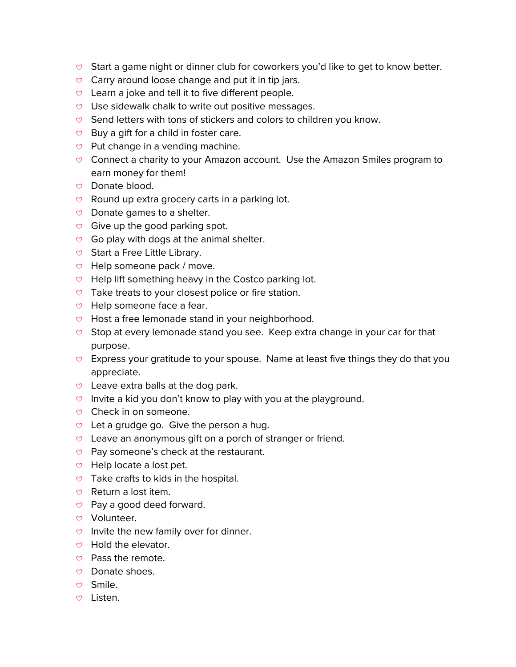- $\circ$  Start a game night or dinner club for coworkers you'd like to get to know better.
- $\heartsuit$  Carry around loose change and put it in tip jars.
- $\heartsuit$  Learn a joke and tell it to five different people.
- $\heartsuit$  Use sidewalk chalk to write out positive messages.
- $\heartsuit$  Send letters with tons of stickers and colors to children you know.
- $\heartsuit$  Buy a gift for a child in foster care.
- $\heartsuit$  Put change in a vending machine.
- $\heartsuit$  Connect a charity to your Amazon account. Use the Amazon Smiles program to earn money for them!
- Donate blood.
- $\heartsuit$  Round up extra grocery carts in a parking lot.
- $\heartsuit$  Donate games to a shelter.
- $\heartsuit$  Give up the good parking spot.
- $\heartsuit$  Go play with dogs at the animal shelter.
- $\heartsuit$  Start a Free Little Library.
- $\heartsuit$  Help someone pack / move.
- $\heartsuit$  Help lift something heavy in the Costco parking lot.
- $\heartsuit$  Take treats to your closest police or fire station.
- $\heartsuit$  Help someone face a fear.
- $\vee$  Host a free lemonade stand in your neighborhood.
- $\circ$  Stop at every lemonade stand you see. Keep extra change in your car for that purpose.
- $\heartsuit$  Express your gratitude to your spouse. Name at least five things they do that you appreciate.
- $\heartsuit$  Leave extra balls at the dog park.
- $\circ$  Invite a kid you don't know to play with you at the playground.
- $\heartsuit$  Check in on someone.
- $\heartsuit$  Let a grudge go. Give the person a hug.
- $\circ$  Leave an anonymous gift on a porch of stranger or friend.
- $\heartsuit$  Pay someone's check at the restaurant.
- $\heartsuit$  Help locate a lost pet.
- $\heartsuit$  Take crafts to kids in the hospital.
- $\heartsuit$  Return a lost item.
- $\heartsuit$  Pay a good deed forward.
- Volunteer.
- $\circ$  Invite the new family over for dinner.
- $\heartsuit$  Hold the elevator.
- $\heartsuit$  Pass the remote.
- Donate shoes.
- Smile.
- Listen.